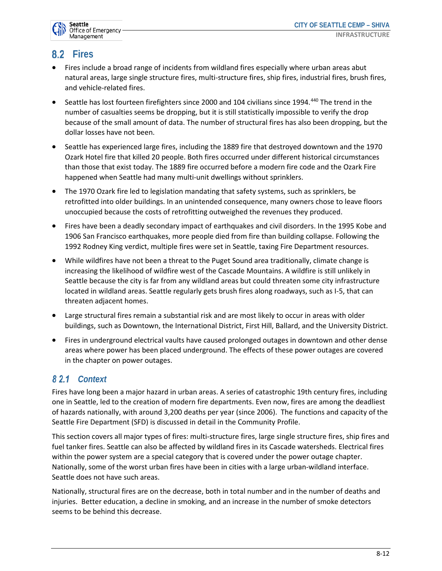

# **8.2** Fires

- Fires include a broad range of incidents from wildland fires especially where urban areas abut natural areas, large single structure fires, multi-structure fires, ship fires, industrial fires, brush fires, and vehicle-related fires.
- Seattle has lost fourteen firefighters since 2000 and 104 civilians since 1994.<sup>440</sup> The trend in the number of casualties seems be dropping, but it is still statistically impossible to verify the drop because of the small amount of data. The number of structural fires has also been dropping, but the dollar losses have not been.
- Seattle has experienced large fires, including the 1889 fire that destroyed downtown and the 1970 Ozark Hotel fire that killed 20 people. Both fires occurred under different historical circumstances than those that exist today. The 1889 fire occurred before a modern fire code and the Ozark Fire happened when Seattle had many multi-unit dwellings without sprinklers.
- The 1970 Ozark fire led to legislation mandating that safety systems, such as sprinklers, be retrofitted into older buildings. In an unintended consequence, many owners chose to leave floors unoccupied because the costs of retrofitting outweighed the revenues they produced.
- Fires have been a deadly secondary impact of earthquakes and civil disorders. In the 1995 Kobe and 1906 San Francisco earthquakes, more people died from fire than building collapse. Following the 1992 Rodney King verdict, multiple fires were set in Seattle, taxing Fire Department resources.
- While wildfires have not been a threat to the Puget Sound area traditionally, climate change is increasing the likelihood of wildfire west of the Cascade Mountains. A wildfire is still unlikely in Seattle because the city is far from any wildland areas but could threaten some city infrastructure located in wildland areas. Seattle regularly gets brush fires along roadways, such as I-5, that can threaten adjacent homes.
- Large structural fires remain a substantial risk and are most likely to occur in areas with older buildings, such as Downtown, the International District, First Hill, Ballard, and the University District.
- Fires in underground electrical vaults have caused prolonged outages in downtown and other dense areas where power has been placed underground. The effects of these power outages are covered in the chapter on power outages.

## *Context*

Fires have long been a major hazard in urban areas. A series of catastrophic 19th century fires, including one in Seattle, led to the creation of modern fire departments. Even now, fires are among the deadliest of hazards nationally, with around 3,200 deaths per year (since 2006). The functions and capacity of the Seattle Fire Department (SFD) is discussed in detail in the Community Profile.

This section covers all major types of fires: multi-structure fires, large single structure fires, ship fires and fuel tanker fires. Seattle can also be affected by wildland fires in its Cascade watersheds. Electrical fires within the power system are a special category that is covered under the power outage chapter. Nationally, some of the worst urban fires have been in cities with a large urban-wildland interface. Seattle does not have such areas.

Nationally, structural fires are on the decrease, both in total number and in the number of deaths and injuries. Better education, a decline in smoking, and an increase in the number of smoke detectors seems to be behind this decrease.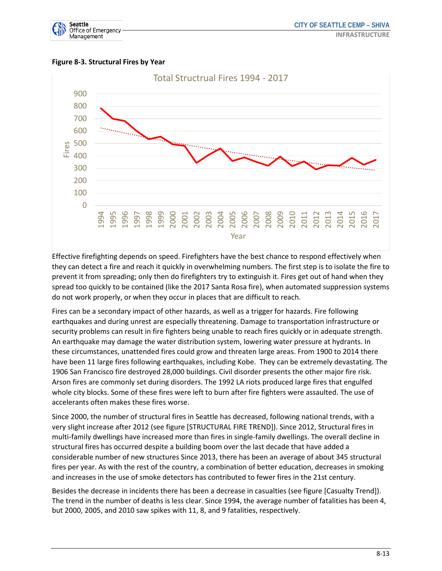





Effective firefighting depends on speed. Firefighters have the best chance to respond effectively when they can detect a fire and reach it quickly in overwhelming numbers. The first step is to isolate the fire to prevent it from spreading; only then do firefighters try to extinguish it. Fires get out of hand when they spread too quickly to be contained (like the 2017 Santa Rosa fire), when automated suppression systems do not work properly, or when they occur in places that are difficult to reach.

Fires can be a secondary impact of other hazards, as well as a trigger for hazards. Fire following earthquakes and during unrest are especially threatening. Damage to transportation infrastructure or security problems can result in fire fighters being unable to reach fires quickly or in adequate strength. An earthquake may damage the water distribution system, lowering water pressure at hydrants. In these circumstances, unattended fires could grow and threaten large areas. From 1900 to 2014 there have been 11 large fires following earthquakes, including Kobe. They can be extremely devastating. The 1906 San Francisco fire destroyed 28,000 buildings. Civil disorder presents the other major fire risk. Arson fires are commonly set during disorders. The 1992 LA riots produced large fires that engulfed whole city blocks. Some of these fires were left to burn after fire fighters were assaulted. The use of accelerants often makes these fires worse.

Since 2000, the number of structural fires in Seattle has decreased, following national trends, with a very slight increase after 2012 (see figure [STRUCTURAL FIRE TREND]). Since 2012, Structural fires in multi-family dwellings have increased more than fires in single-family dwellings. The overall decline in structural fires has occurred despite a building boom over the last decade that have added a considerable number of new structures Since 2013, there has been an average of about 345 structural fires per year. As with the rest of the country, a combination of better education, decreases in smoking and increases in the use of smoke detectors has contributed to fewer fires in the 21st century.

Besides the decrease in incidents there has been a decrease in casualties (see figure [Casualty Trend]). The trend in the number of deaths is less clear. Since 1994, the average number of fatalities has been 4, but 2000, 2005, and 2010 saw spikes with 11, 8, and 9 fatalities, respectively.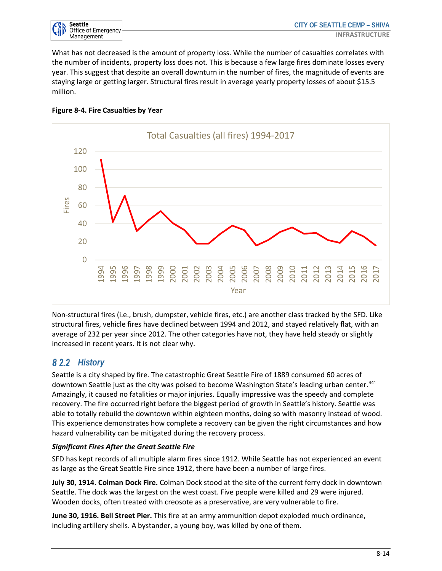

What has not decreased is the amount of property loss. While the number of casualties correlates with the number of incidents, property loss does not. This is because a few large fires dominate losses every year. This suggest that despite an overall downturn in the number of fires, the magnitude of events are staying large or getting larger. Structural fires result in average yearly property losses of about \$15.5 million.



#### **Figure 8-4. Fire Casualties by Year**

Non-structural fires (i.e., brush, dumpster, vehicle fires, etc.) are another class tracked by the SFD. Like structural fires, vehicle fires have declined between 1994 and 2012, and stayed relatively flat, with an average of 232 per year since 2012. The other categories have not, they have held steady or slightly increased in recent years. It is not clear why.

### **82.2 History**

Seattle is a city shaped by fire. The catastrophic Great Seattle Fire of 1889 consumed 60 acres of downtown Seattle just as the city was poised to become Washington State's leading urban center.<sup>441</sup> Amazingly, it caused no fatalities or major injuries. Equally impressive was the speedy and complete recovery. The fire occurred right before the biggest period of growth in Seattle's history. Seattle was able to totally rebuild the downtown within eighteen months, doing so with masonry instead of wood. This experience demonstrates how complete a recovery can be given the right circumstances and how hazard vulnerability can be mitigated during the recovery process.

#### *Significant Fires After the Great Seattle Fire*

SFD has kept records of all multiple alarm fires since 1912. While Seattle has not experienced an event as large as the Great Seattle Fire since 1912, there have been a number of large fires.

**July 30, 1914. Colman Dock Fire.** Colman Dock stood at the site of the current ferry dock in downtown Seattle. The dock was the largest on the west coast. Five people were killed and 29 were injured. Wooden docks, often treated with creosote as a preservative, are very vulnerable to fire.

**June 30, 1916. Bell Street Pier.** This fire at an army ammunition depot exploded much ordinance, including artillery shells. A bystander, a young boy, was killed by one of them.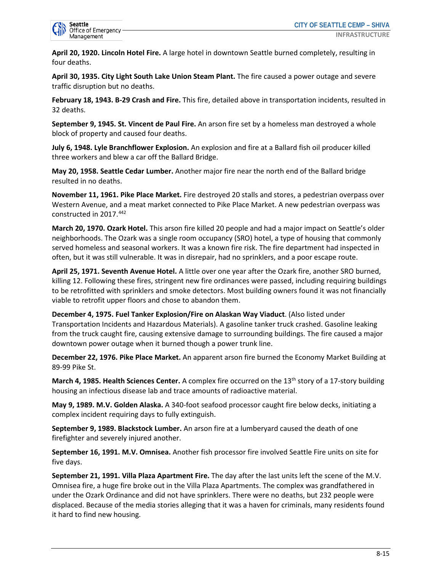

**April 20, 1920. Lincoln Hotel Fire.** A large hotel in downtown Seattle burned completely, resulting in four deaths.

**April 30, 1935. City Light South Lake Union Steam Plant.** The fire caused a power outage and severe traffic disruption but no deaths.

**February 18, 1943. B-29 Crash and Fire.** This fire, detailed above in transportation incidents, resulted in 32 deaths.

**September 9, 1945. St. Vincent de Paul Fire.** An arson fire set by a homeless man destroyed a whole block of property and caused four deaths.

**July 6, 1948. Lyle Branchflower Explosion.** An explosion and fire at a Ballard fish oil producer killed three workers and blew a car off the Ballard Bridge.

**May 20, 1958. Seattle Cedar Lumber.** Another major fire near the north end of the Ballard bridge resulted in no deaths.

**November 11, 1961. Pike Place Market.** Fire destroyed 20 stalls and stores, a pedestrian overpass over Western Avenue, and a meat market connected to Pike Place Market. A new pedestrian overpass was constructed in 2017.442

**March 20, 1970. Ozark Hotel.** This arson fire killed 20 people and had a major impact on Seattle's older neighborhoods. The Ozark was a single room occupancy (SRO) hotel, a type of housing that commonly served homeless and seasonal workers. It was a known fire risk. The fire department had inspected in often, but it was still vulnerable. It was in disrepair, had no sprinklers, and a poor escape route.

**April 25, 1971. Seventh Avenue Hotel.** A little over one year after the Ozark fire, another SRO burned, killing 12. Following these fires, stringent new fire ordinances were passed, including requiring buildings to be retrofitted with sprinklers and smoke detectors. Most building owners found it was not financially viable to retrofit upper floors and chose to abandon them.

**December 4, 1975. Fuel Tanker Explosion/Fire on Alaskan Way Viaduct**. (Also listed under Transportation Incidents and Hazardous Materials). A gasoline tanker truck crashed. Gasoline leaking from the truck caught fire, causing extensive damage to surrounding buildings. The fire caused a major downtown power outage when it burned though a power trunk line.

**December 22, 1976. Pike Place Market.** An apparent arson fire burned the Economy Market Building at 89-99 Pike St.

**March 4, 1985. Health Sciences Center.** A complex fire occurred on the 13<sup>th</sup> story of a 17-story building housing an infectious disease lab and trace amounts of radioactive material.

**May 9, 1989. M.V. Golden Alaska.** A 340-foot seafood processor caught fire below decks, initiating a complex incident requiring days to fully extinguish.

**September 9, 1989. Blackstock Lumber.** An arson fire at a lumberyard caused the death of one firefighter and severely injured another.

**September 16, 1991. M.V. Omnisea.** Another fish processor fire involved Seattle Fire units on site for five days.

**September 21, 1991. Villa Plaza Apartment Fire.** The day after the last units left the scene of the M.V. Omnisea fire, a huge fire broke out in the Villa Plaza Apartments. The complex was grandfathered in under the Ozark Ordinance and did not have sprinklers. There were no deaths, but 232 people were displaced. Because of the media stories alleging that it was a haven for criminals, many residents found it hard to find new housing.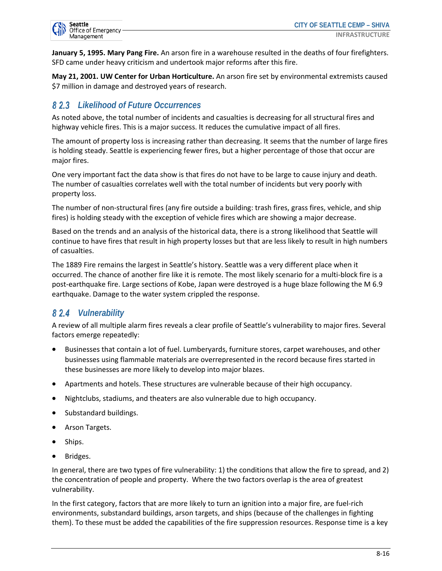

**January 5, 1995. Mary Pang Fire.** An arson fire in a warehouse resulted in the deaths of four firefighters. SFD came under heavy criticism and undertook major reforms after this fire.

**May 21, 2001. UW Center for Urban Horticulture.** An arson fire set by environmental extremists caused \$7 million in damage and destroyed years of research.

### *Likelihood of Future Occurrences*

As noted above, the total number of incidents and casualties is decreasing for all structural fires and highway vehicle fires. This is a major success. It reduces the cumulative impact of all fires.

The amount of property loss is increasing rather than decreasing. It seems that the number of large fires is holding steady. Seattle is experiencing fewer fires, but a higher percentage of those that occur are major fires.

One very important fact the data show is that fires do not have to be large to cause injury and death. The number of casualties correlates well with the total number of incidents but very poorly with property loss.

The number of non-structural fires (any fire outside a building: trash fires, grass fires, vehicle, and ship fires) is holding steady with the exception of vehicle fires which are showing a major decrease.

Based on the trends and an analysis of the historical data, there is a strong likelihood that Seattle will continue to have fires that result in high property losses but that are less likely to result in high numbers of casualties.

The 1889 Fire remains the largest in Seattle's history. Seattle was a very different place when it occurred. The chance of another fire like it is remote. The most likely scenario for a multi-block fire is a post-earthquake fire. Large sections of Kobe, Japan were destroyed is a huge blaze following the M 6.9 earthquake. Damage to the water system crippled the response.

# *Vulnerability*

A review of all multiple alarm fires reveals a clear profile of Seattle's vulnerability to major fires. Several factors emerge repeatedly:

- Businesses that contain a lot of fuel. Lumberyards, furniture stores, carpet warehouses, and other businesses using flammable materials are overrepresented in the record because fires started in these businesses are more likely to develop into major blazes.
- Apartments and hotels. These structures are vulnerable because of their high occupancy.
- Nightclubs, stadiums, and theaters are also vulnerable due to high occupancy.
- Substandard buildings.
- Arson Targets.
- Ships.
- Bridges.

In general, there are two types of fire vulnerability: 1) the conditions that allow the fire to spread, and 2) the concentration of people and property. Where the two factors overlap is the area of greatest vulnerability.

In the first category, factors that are more likely to turn an ignition into a major fire, are fuel-rich environments, substandard buildings, arson targets, and ships (because of the challenges in fighting them). To these must be added the capabilities of the fire suppression resources. Response time is a key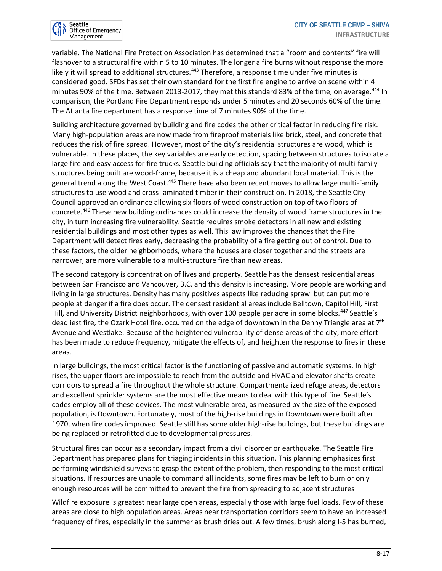

variable. The National Fire Protection Association has determined that a "room and contents" fire will flashover to a structural fire within 5 to 10 minutes. The longer a fire burns without response the more likely it will spread to additional structures.<sup>443</sup> Therefore, a response time under five minutes is considered good. SFDs has set their own standard for the first fire engine to arrive on scene within 4 minutes 90% of the time. Between 2013-2017, they met this standard 83% of the time, on average.<sup>444</sup> In comparison, the Portland Fire Department responds under 5 minutes and 20 seconds 60% of the time. The Atlanta fire department has a response time of 7 minutes 90% of the time.

Building architecture governed by building and fire codes the other critical factor in reducing fire risk. Many high-population areas are now made from fireproof materials like brick, steel, and concrete that reduces the risk of fire spread. However, most of the city's residential structures are wood, which is vulnerable. In these places, the key variables are early detection, spacing between structures to isolate a large fire and easy access for fire trucks. Seattle building officials say that the majority of multi-family structures being built are wood-frame, because it is a cheap and abundant local material. This is the general trend along the West Coast.<sup>445</sup> There have also been recent moves to allow large multi-family structures to use wood and cross-laminated timber in their construction. In 2018, the Seattle City Council approved an ordinance allowing six floors of wood construction on top of two floors of concrete.446 These new building ordinances could increase the density of wood frame structures in the city, in turn increasing fire vulnerability. Seattle requires smoke detectors in all new and existing residential buildings and most other types as well. This law improves the chances that the Fire Department will detect fires early, decreasing the probability of a fire getting out of control. Due to these factors, the older neighborhoods, where the houses are closer together and the streets are narrower, are more vulnerable to a multi-structure fire than new areas.

The second category is concentration of lives and property. Seattle has the densest residential areas between San Francisco and Vancouver, B.C. and this density is increasing. More people are working and living in large structures. Density has many positives aspects like reducing sprawl but can put more people at danger if a fire does occur. The densest residential areas include Belltown, Capitol Hill, First Hill, and University District neighborhoods, with over 100 people per acre in some blocks.<sup>447</sup> Seattle's deadliest fire, the Ozark Hotel fire, occurred on the edge of downtown in the Denny Triangle area at 7<sup>th</sup> Avenue and Westlake. Because of the heightened vulnerability of dense areas of the city, more effort has been made to reduce frequency, mitigate the effects of, and heighten the response to fires in these areas.

In large buildings, the most critical factor is the functioning of passive and automatic systems. In high rises, the upper floors are impossible to reach from the outside and HVAC and elevator shafts create corridors to spread a fire throughout the whole structure. Compartmentalized refuge areas, detectors and excellent sprinkler systems are the most effective means to deal with this type of fire. Seattle's codes employ all of these devices. The most vulnerable area, as measured by the size of the exposed population, is Downtown. Fortunately, most of the high-rise buildings in Downtown were built after 1970, when fire codes improved. Seattle still has some older high-rise buildings, but these buildings are being replaced or retrofitted due to developmental pressures.

Structural fires can occur as a secondary impact from a civil disorder or earthquake. The Seattle Fire Department has prepared plans for triaging incidents in this situation. This planning emphasizes first performing windshield surveys to grasp the extent of the problem, then responding to the most critical situations. If resources are unable to command all incidents, some fires may be left to burn or only enough resources will be committed to prevent the fire from spreading to adjacent structures

Wildfire exposure is greatest near large open areas, especially those with large fuel loads. Few of these areas are close to high population areas. Areas near transportation corridors seem to have an increased frequency of fires, especially in the summer as brush dries out. A few times, brush along I-5 has burned,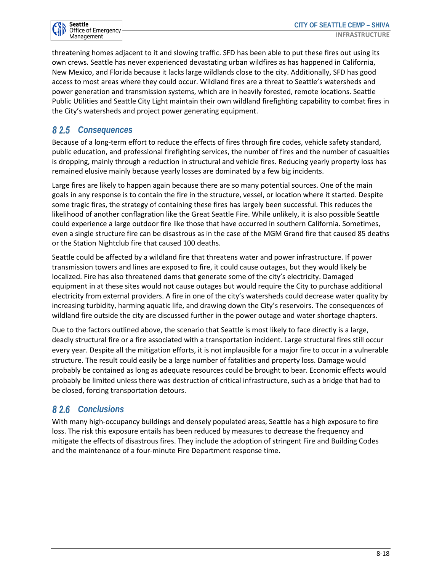

threatening homes adjacent to it and slowing traffic. SFD has been able to put these fires out using its own crews. Seattle has never experienced devastating urban wildfires as has happened in California, New Mexico, and Florida because it lacks large wildlands close to the city. Additionally, SFD has good access to most areas where they could occur. Wildland fires are a threat to Seattle's watersheds and power generation and transmission systems, which are in heavily forested, remote locations. Seattle Public Utilities and Seattle City Light maintain their own wildland firefighting capability to combat fires in the City's watersheds and project power generating equipment.

### *Consequences*

Because of a long-term effort to reduce the effects of fires through fire codes, vehicle safety standard, public education, and professional firefighting services, the number of fires and the number of casualties is dropping, mainly through a reduction in structural and vehicle fires. Reducing yearly property loss has remained elusive mainly because yearly losses are dominated by a few big incidents.

Large fires are likely to happen again because there are so many potential sources. One of the main goals in any response is to contain the fire in the structure, vessel, or location where it started. Despite some tragic fires, the strategy of containing these fires has largely been successful. This reduces the likelihood of another conflagration like the Great Seattle Fire. While unlikely, it is also possible Seattle could experience a large outdoor fire like those that have occurred in southern California. Sometimes, even a single structure fire can be disastrous as in the case of the MGM Grand fire that caused 85 deaths or the Station Nightclub fire that caused 100 deaths.

Seattle could be affected by a wildland fire that threatens water and power infrastructure. If power transmission towers and lines are exposed to fire, it could cause outages, but they would likely be localized. Fire has also threatened dams that generate some of the city's electricity. Damaged equipment in at these sites would not cause outages but would require the City to purchase additional electricity from external providers. A fire in one of the city's watersheds could decrease water quality by increasing turbidity, harming aquatic life, and drawing down the City's reservoirs. The consequences of wildland fire outside the city are discussed further in the power outage and water shortage chapters.

Due to the factors outlined above, the scenario that Seattle is most likely to face directly is a large, deadly structural fire or a fire associated with a transportation incident. Large structural fires still occur every year. Despite all the mitigation efforts, it is not implausible for a major fire to occur in a vulnerable structure. The result could easily be a large number of fatalities and property loss. Damage would probably be contained as long as adequate resources could be brought to bear. Economic effects would probably be limited unless there was destruction of critical infrastructure, such as a bridge that had to be closed, forcing transportation detours.

### *Conclusions*

With many high-occupancy buildings and densely populated areas, Seattle has a high exposure to fire loss. The risk this exposure entails has been reduced by measures to decrease the frequency and mitigate the effects of disastrous fires. They include the adoption of stringent Fire and Building Codes and the maintenance of a four-minute Fire Department response time.